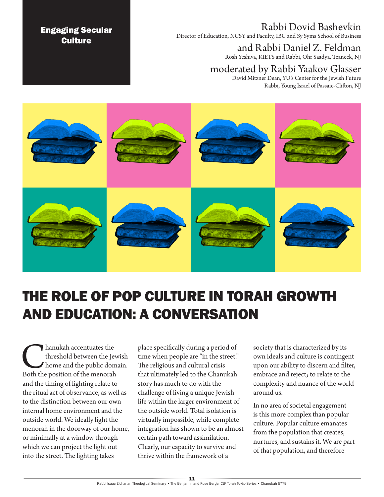## Rabbi Dovid Bashevkin

Director of Education, NCSY and Faculty, IBC and Sy Syms School of Business

# and Rabbi Daniel Z. Feldman

Rosh Yeshiva, RIETS and Rabbi, Ohr Saadya, Teaneck, NJ

## moderated by Rabbi Yaakov Glasser

David Mitzner Dean, YU's Center for the Jewish Future Rabbi, Young Israel of Passaic-Clifton, NJ



# THE ROLE OF POP CULTURE IN TORAH GROWTH AND EDUCATION: A CONVERSATION

**Chanukah accentuates the**<br>threshold between the Jew<br>Both the position of the menorah threshold between the Jewish home and the public domain. and the timing of lighting relate to the ritual act of observance, as well as to the distinction between our own internal home environment and the outside world. We ideally light the menorah in the doorway of our home, or minimally at a window through which we can project the light out into the street. The lighting takes

Engaging Secular **Culture** 

> place specifically during a period of time when people are "in the street." The religious and cultural crisis that ultimately led to the Chanukah story has much to do with the challenge of living a unique Jewish life within the larger environment of the outside world. Total isolation is virtually impossible, while complete integration has shown to be an almost certain path toward assimilation. Clearly, our capacity to survive and thrive within the framework of a

society that is characterized by its own ideals and culture is contingent upon our ability to discern and filter, embrace and reject; to relate to the complexity and nuance of the world around us.

In no area of societal engagement is this more complex than popular culture. Popular culture emanates from the population that creates, nurtures, and sustains it. We are part of that population, and therefore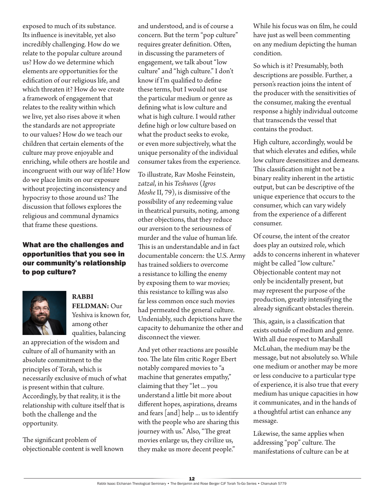exposed to much of its substance. Its influence is inevitable, yet also incredibly challenging. How do we relate to the popular culture around us? How do we determine which elements are opportunities for the edification of our religious life, and which threaten it? How do we create a framework of engagement that relates to the reality within which we live, yet also rises above it when the standards are not appropriate to our values? How do we teach our children that certain elements of the culture may prove enjoyable and enriching, while others are hostile and incongruent with our way of life? How do we place limits on our exposure without projecting inconsistency and hypocrisy to those around us? The discussion that follows explores the religious and communal dynamics that frame these questions.

#### What are the challenges and opportunities that you see in our community's relationship to pop culture?



#### **RABBI FELDMAN:** Our Yeshiva is known for, among other qualities, balancing

an appreciation of the wisdom and culture of all of humanity with an absolute commitment to the principles of Torah, which is necessarily exclusive of much of what is present within that culture. Accordingly, by that reality, it is the relationship with culture itself that is both the challenge and the opportunity.

The significant problem of objectionable content is well known and understood, and is of course a concern. But the term "pop culture" requires greater definition. Often, in discussing the parameters of engagement, we talk about "low culture" and "high culture." I don't know if I'm qualified to define these terms, but I would not use the particular medium or genre as defining what is low culture and what is high culture. I would rather define high or low culture based on what the product seeks to evoke, or even more subjectively, what the unique personality of the individual consumer takes from the experience.

To illustrate, Rav Moshe Feinstein, *zatzal*, in his *Teshuvos* (*Igros Moshe* II, 79), is dismissive of the possibility of any redeeming value in theatrical pursuits, noting, among other objections, that they reduce our aversion to the seriousness of murder and the value of human life. This is an understandable and in fact documentable concern: the U.S. Army has trained soldiers to overcome a resistance to killing the enemy by exposing them to war movies; this resistance to killing was also far less common once such movies had permeated the general culture. Undeniably, such depictions have the capacity to dehumanize the other and disconnect the viewer.

And yet other reactions are possible too. The late film critic Roger Ebert notably compared movies to "a machine that generates empathy," claiming that they "let ... you understand a little bit more about different hopes, aspirations, dreams and fears [and] help ... us to identify with the people who are sharing this journey with us." Also, "The great movies enlarge us, they civilize us, they make us more decent people."

While his focus was on film, he could have just as well been commenting on any medium depicting the human condition.

So which is it? Presumably, both descriptions are possible. Further, a person's reaction joins the intent of the producer with the sensitivities of the consumer, making the eventual response a highly individual outcome that transcends the vessel that contains the product.

High culture, accordingly, would be that which elevates and edifies, while low culture desensitizes and demeans. This classification might not be a binary reality inherent in the artistic output, but can be descriptive of the unique experience that occurs to the consumer, which can vary widely from the experience of a different consumer.

Of course, the intent of the creator does play an outsized role, which adds to concerns inherent in whatever might be called "low culture." Objectionable content may not only be incidentally present, but may represent the purpose of the production, greatly intensifying the already significant obstacles therein.

This, again, is a classification that exists outside of medium and genre. With all due respect to Marshall McLuhan, the medium may be the message, but not absolutely so. While one medium or another may be more or less conducive to a particular type of experience, it is also true that every medium has unique capacities in how it communicates, and in the hands of a thoughtful artist can enhance any message.

Likewise, the same applies when addressing "pop" culture. The manifestations of culture can be at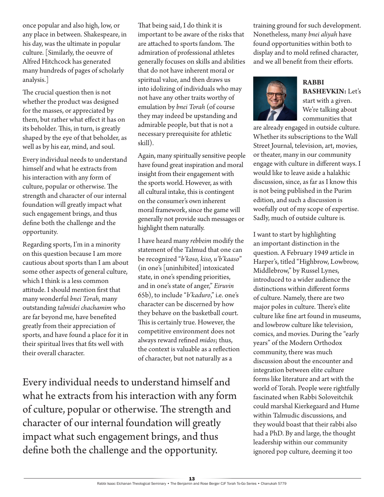once popular and also high, low, or any place in between. Shakespeare, in his day, was the ultimate in popular culture. [Similarly, the oeuvre of Alfred Hitchcock has generated many hundreds of pages of scholarly analysis.]

The crucial question then is not whether the product was designed for the masses, or appreciated by them, but rather what effect it has on its beholder. This, in turn, is greatly shaped by the eye of that beholder, as well as by his ear, mind, and soul.

Every individual needs to understand himself and what he extracts from his interaction with any form of culture, popular or otherwise. The strength and character of our internal foundation will greatly impact what such engagement brings, and thus define both the challenge and the opportunity.

Regarding sports, I'm in a minority on this question because I am more cautious about sports than I am about some other aspects of general culture, which I think is a less common attitude. I should mention first that many wonderful *bnei Torah,* many outstanding *talmidei chachamim* who are far beyond me, have benefited greatly from their appreciation of sports, and have found a place for it in their spiritual lives that fits well with their overall character.

That being said, I do think it is important to be aware of the risks that are attached to sports fandom. The admiration of professional athletes generally focuses on skills and abilities that do not have inherent moral or spiritual value, and then draws us into idolizing of individuals who may not have any other traits worthy of emulation by *bnei Torah* (of course they may indeed be upstanding and admirable people, but that is not a necessary prerequisite for athletic skill).

Again, many spiritually sensitive people have found great inspiration and moral insight from their engagement with the sports world. However, as with all cultural intake, this is contingent on the consumer's own inherent moral framework, since the game will generally not provide such messages or highlight them naturally.

I have heard many *rebbeim* modify the statement of the Talmud that one can be recognized "*b'koso, kiso, u'b'kaaso*" (in one's [uninhibited] intoxicated state, in one's spending priorities, and in one's state of anger," *Eiruvin*  65b), to include "*b'kaduro*," i.e. one's character can be discerned by how they behave on the basketball court. This is certainly true. However, the competitive environment does not always reward refined *midos*; thus, the context is valuable as a reflection of character, but not naturally as a

Every individual needs to understand himself and what he extracts from his interaction with any form of culture, popular or otherwise. The strength and character of our internal foundation will greatly impact what such engagement brings, and thus define both the challenge and the opportunity.

training ground for such development. Nonetheless, many *bnei aliyah* have found opportunities within both to display and to mold refined character, and we all benefit from their efforts.



**RABBI BASHEVKIN:** Let's

start with a given. We're talking about communities that

are already engaged in outside culture. Whether its subscriptions to the Wall Street Journal, television, art, movies, or theater, many in our community engage with culture in different ways. I would like to leave aside a halakhic discussion, since, as far as I know this is not being published in the Purim edition, and such a discussion is woefully out of my scope of expertise. Sadly, much of outside culture is.

I want to start by highlighting an important distinction in the question. A February 1949 article in Harper's, titled "Highbrow, Lowbrow, Middlebrow," by Russel Lynes, introduced to a wider audience the distinctions within different forms of culture. Namely, there are two major poles in culture. There's elite culture like fine art found in museums, and lowbrow culture like television, comics, and movies. During the "early years" of the Modern Orthodox community, there was much discussion about the encounter and integration between elite culture forms like literature and art with the world of Torah. People were rightfully fascinated when Rabbi Soloveitchik could marshal Kierkegaard and Hume within Talmudic discussions, and they would boast that their rabbi also had a PhD. By and large, the thought leadership within our community ignored pop culture, deeming it too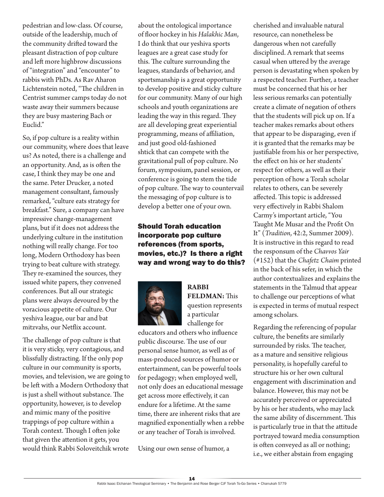pedestrian and low-class. Of course, outside of the leadership, much of the community drifted toward the pleasant distraction of pop culture and left more highbrow discussions of "integration" and "encounter" to rabbis with PhDs. As Rav Aharon Lichtenstein noted, "The children in Centrist summer camps today do not waste away their summers because they are busy mastering Bach or Euclid."

So, if pop culture is a reality within our community, where does that leave us? As noted, there is a challenge and an opportunity. And, as is often the case, I think they may be one and the same. Peter Drucker, a noted management consultant, famously remarked, "culture eats strategy for breakfast." Sure, a company can have impressive change-management plans, but if it does not address the underlying culture in the institution nothing will really change. For too long, Modern Orthodoxy has been trying to beat culture with strategy. They re-examined the sources, they issued white papers, they convened conferences. But all our strategic plans were always devoured by the voracious appetite of culture. Our yeshiva league, our bar and bat mitzvahs, our Netflix account.

The challenge of pop culture is that it is very sticky, very contagious, and blissfully distracting. If the only pop culture in our community is sports, movies, and television, we are going to be left with a Modern Orthodoxy that is just a shell without substance. The opportunity, however, is to develop and mimic many of the positive trappings of pop culture within a Torah context. Though I often joke that given the attention it gets, you would think Rabbi Soloveitchik wrote

about the ontological importance of floor hockey in his *Halakhic Man*, I do think that our yeshiva sports leagues are a great case study for this. The culture surrounding the leagues, standards of behavior, and sportsmanship is a great opportunity to develop positive and sticky culture for our community. Many of our high schools and youth organizations are leading the way in this regard. They are all developing great experiential programming, means of affiliation, and just good old-fashioned shtick that can compete with the gravitational pull of pop culture. No forum, symposium, panel session, or conference is going to stem the tide of pop culture. The way to countervail the messaging of pop culture is to develop a better one of your own.

#### Should Torah education incorporate pop culture references (from sports, movies, etc.)? Is there a right way and wrong way to do this?



**RABBI FELDMAN:** This question represents a particular challenge for

educators and others who influence public discourse. The use of our personal sense humor, as well as of mass-produced sources of humor or entertainment, can be powerful tools for pedagogy; when employed well, not only does an educational message get across more effectively, it can endure for a lifetime. At the same time, there are inherent risks that are magnified exponentially when a rebbe or any teacher of Torah is involved.

Using our own sense of humor, a

cherished and invaluable natural resource, can nonetheless be dangerous when not carefully disciplined. A remark that seems casual when uttered by the average person is devastating when spoken by a respected teacher. Further, a teacher must be concerned that his or her less serious remarks can potentially create a climate of negation of others that the students will pick up on. If a teacher makes remarks about others that appear to be disparaging, even if it is granted that the remarks may be justifiable from his or her perspective, the effect on his or her students' respect for others, as well as their perception of how a Torah scholar relates to others, can be severely affected. This topic is addressed very effectively in Rabbi Shalom Carmy's important article, "You Taught Me Musar and the Profit On It" (*Tradition*, 42:2, Summer 2009). It is instructive in this regard to read the responsum of the *Chavvos Yair* (#152) that the *Chafetz Chaim* printed in the back of his sefer, in which the author contextualizes and explains the statements in the Talmud that appear to challenge our perceptions of what is expected in terms of mutual respect among scholars.

Regarding the referencing of popular culture, the benefits are similarly surrounded by risks. The teacher, as a mature and sensitive religious personality, is hopefully careful to structure his or her own cultural engagement with discrimination and balance. However, this may not be accurately perceived or appreciated by his or her students, who may lack the same ability of discernment. This is particularly true in that the attitude portrayed toward media consumption is often conveyed as all or nothing; i.e., we either abstain from engaging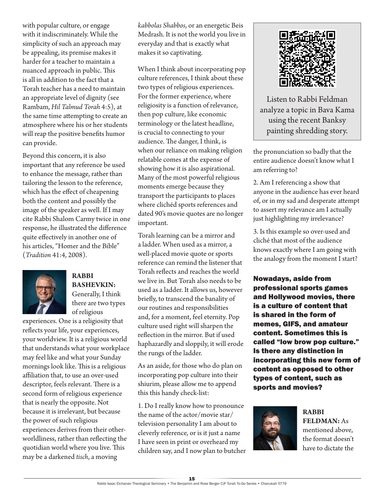with popular culture, or engage with it indiscriminately. While the simplicity of such an approach may be appealing, its premise makes it harder for a teacher to maintain a nuanced approach in public. This is all in addition to the fact that a Torah teacher has a need to maintain an appropriate level of dignity (see Rambam, *Hil Talmud Torah* 4:5), at the same time attempting to create an atmosphere where his or her students will reap the positive benefits humor can provide.

Beyond this concern, it is also important that any reference be used to enhance the message, rather than tailoring the lesson to the reference, which has the effect of cheapening both the content and possibly the image of the speaker as well. If I may cite Rabbi Shalom Carmy twice in one response, he illustrated the difference quite effectively in another one of his articles, "Homer and the Bible" (*Tradition* 41:4, 2008).



#### **RABBI BASHEVKIN:**  Generally, I think there are two types of religious

experiences. One is a religiosity that reflects your life, your experiences, your worldview. It is a religious world that understands what your workplace may feel like and what your Sunday mornings look like. This is a religious affiliation that, to use an over-used descriptor, feels relevant. There is a second form of religious experience that is nearly the opposite. Not because it is irrelevant, but because the power of such religious experiences derives from their otherworldliness, rather than reflecting the quotidian world where you live. This may be a darkened *tisch*, a moving

*kabbolas Shabbos*, or an energetic Beis Medrash. It is not the world you live in everyday and that is exactly what makes it so captivating.

When I think about incorporating pop culture references, I think about these two types of religious experiences. For the former experience, where religiosity is a function of relevance, then pop culture, like economic terminology or the latest headline, is crucial to connecting to your audience. The danger, I think, is when our reliance on making religion relatable comes at the expense of showing how it is also aspirational. Many of the most powerful religious moments emerge because they transport the participants to places where clichéd sports references and dated 90's movie quotes are no longer important.

Torah learning can be a mirror and a ladder. When used as a mirror, a well-placed movie quote or sports reference can remind the listener that Torah reflects and reaches the world we live in. But Torah also needs to be used as a ladder. It allows us, however briefly, to transcend the banality of our routines and responsibilities and, for a moment, feel eternity. Pop culture used right will sharpen the reflection in the mirror. But if used haphazardly and sloppily, it will erode the rungs of the ladder.

As an aside, for those who do plan on incorporating pop culture into their shiurim, please allow me to append this this handy check-list:

1. Do I really know how to pronounce the name of the actor/movie star/ television personality I am about to cleverly reference, or is it just a name I have seen in print or overheard my children say, and I now plan to butcher



Listen to Rabbi Feldman analyze a topic in Bava Kama using the recent Banksy painting shredding story.

the pronunciation so badly that the entire audience doesn't know what I am referring to?

2. Am I referencing a show that anyone in the audience has ever heard of, or in my sad and desperate attempt to assert my relevance am I actually just highlighting my irrelevance?

3. Is this example so over-used and cliché that most of the audience knows exactly where I am going with the analogy from the moment I start?

Nowadays, aside from professional sports games and Hollywood movies, there is a culture of content that is shared in the form of memes, GIFS, and amateur content. Sometimes this is called "low brow pop culture." Is there any distinction in incorporating this new form of content as opposed to other types of content, such as sports and movies?



**RABBI FELDMAN:** As mentioned above, the format doesn't have to dictate the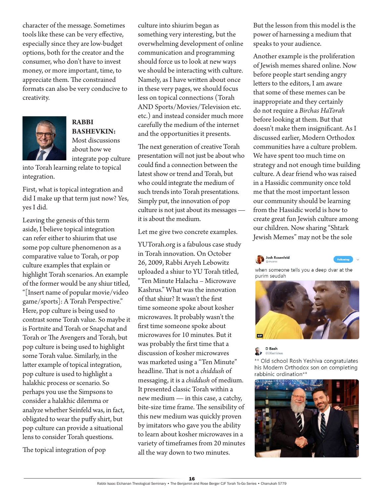character of the message. Sometimes tools like these can be very effective, especially since they are low-budget options, both for the creator and the consumer, who don't have to invest money, or more important, time, to appreciate them. The constrained formats can also be very conducive to creativity.



**RABBI BASHEVKIN:**  Most discussions about how we integrate pop culture

into Torah learning relate to topical integration.

First, what is topical integration and did I make up that term just now? Yes, yes I did.

Leaving the genesis of this term aside, I believe topical integration can refer either to shiurim that use some pop culture phenomenon as a comparative value to Torah, or pop culture examples that explain or highlight Torah scenarios. An example of the former would be any shiur titled, "[Insert name of popular movie/video game/sports]: A Torah Perspective." Here, pop culture is being used to contrast some Torah value. So maybe it is Fortnite and Torah or Snapchat and Torah or The Avengers and Torah, but pop culture is being used to highlight some Torah value. Similarly, in the latter example of topical integration, pop culture is used to highlight a halakhic process or scenario. So perhaps you use the Simpsons to consider a halakhic dilemma or analyze whether Seinfeld was, in fact, obligated to wear the puffy shirt, but pop culture can provide a situational lens to consider Torah questions.

The topical integration of pop

culture into shiurim began as something very interesting, but the overwhelming development of online communication and programming should force us to look at new ways we should be interacting with culture. Namely, as I have written about once in these very pages, we should focus less on topical connections (Torah AND Sports/Movies/Television etc. etc.) and instead consider much more carefully the medium of the internet and the opportunities it presents.

The next generation of creative Torah presentation will not just be about who could find a connection between the latest show or trend and Torah, but who could integrate the medium of such trends into Torah presentations. Simply put, the innovation of pop culture is not just about its messages it is about the medium.

Let me give two concrete examples.

YUTorah.org is a fabulous case study in Torah innovation. On October 26, 2009, Rabbi Aryeh Lebowitz uploaded a shiur to YU Torah titled, "Ten Minute Halacha – Microwave Kashrus." What was the innovation of that shiur? It wasn't the first time someone spoke about kosher microwaves. It probably wasn't the first time someone spoke about microwaves for 10 minutes. But it was probably the first time that a discussion of kosher microwaves was marketed using a "Ten Minute" headline. That is not a *chiddush* of messaging, it is a *chiddush* of medium. It presented classic Torah within a new medium — in this case, a catchy, bite-size time frame. The sensibility of this new medium was quickly proven by imitators who gave you the ability to learn about kosher microwaves in a variety of timeframes from 20 minutes all the way down to two minutes.

But the lesson from this model is the power of harnessing a medium that speaks to your audience.

Another example is the proliferation of Jewish memes shared online. Now before people start sending angry letters to the editors, I am aware that some of these memes can be inappropriate and they certainly do not require a *Birchas HaTorah* before looking at them. But that doesn't make them insignificant. As I discussed earlier, Modern Orthodox communities have a culture problem. We have spent too much time on strategy and not enough time building culture. A dear friend who was raised in a Hassidic community once told me that the most important lesson our community should be learning from the Hassidic world is how to create great fun Jewish culture among our children. Now sharing "Shtark Jewish Memes" may not be the sole





when someone tells you a deep dvar at the purim seudah



D Bash

\*\* Old school Rosh Yeshiva congratulates his Modern Orthodox son on completing rabbinic ordination\*\*

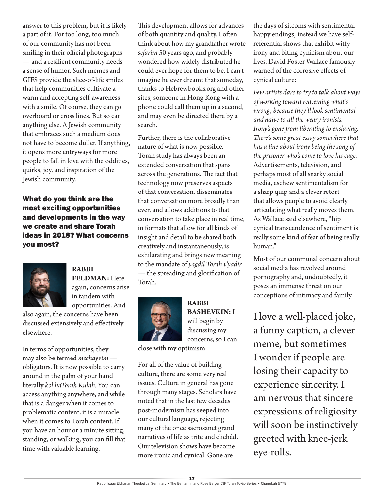answer to this problem, but it is likely a part of it. For too long, too much of our community has not been smiling in their official photographs — and a resilient community needs a sense of humor. Such memes and GIFS provide the slice-of-life smiles that help communities cultivate a warm and accepting self-awareness with a smile. Of course, they can go overboard or cross lines. But so can anything else. A Jewish community that embraces such a medium does not have to become duller. If anything, it opens more entryways for more people to fall in love with the oddities, quirks, joy, and inspiration of the Jewish community.

What do you think are the most exciting opportunities and developments in the way we create and share Torah ideas in 2018? What concerns you most?



**RABBI FELDMAN:** Here again, concerns arise in tandem with opportunities. And

also again, the concerns have been discussed extensively and effectively elsewhere.

In terms of opportunities, they may also be termed *mechayvim*  obligators. It is now possible to carry around in the palm of your hand literally *kol haTorah Kulah.* You can access anything anywhere, and while that is a danger when it comes to problematic content, it is a miracle when it comes to Torah content. If you have an hour or a minute sitting, standing, or walking, you can fill that time with valuable learning.

This development allows for advances of both quantity and quality. I often think about how my grandfather wrote *sefarim* 50 years ago, and probably wondered how widely distributed he could ever hope for them to be. I can't imagine he ever dreamt that someday, thanks to Hebrewbooks.org and other sites, someone in Hong Kong with a phone could call them up in a second, and may even be directed there by a search.

Further, there is the collaborative nature of what is now possible. Torah study has always been an extended conversation that spans across the generations. The fact that technology now preserves aspects of that conversation, disseminates that conversation more broadly than ever, and allows additions to that conversation to take place in real time, in formats that allow for all kinds of insight and detail to be shared both creatively and instantaneously, is exhilarating and brings new meaning to the mandate of *yagdil Torah v'yadir*  — the spreading and glorification of Torah.



**RABBI BASHEVKIN:** I will begin by discussing my concerns, so I can

close with my optimism.

For all of the value of building culture, there are some very real issues. Culture in general has gone through many stages. Scholars have noted that in the last few decades post-modernism has seeped into our cultural language, rejecting many of the once sacrosanct grand narratives of life as trite and clichéd. Our television shows have become more ironic and cynical. Gone are

the days of sitcoms with sentimental happy endings; instead we have selfreferential shows that exhibit witty irony and biting cynicism about our lives. David Foster Wallace famously warned of the corrosive effects of cynical culture:

*Few artists dare to try to talk about ways of working toward redeeming what's wrong, because they'll look sentimental and naive to all the weary ironists. Irony's gone from liberating to enslaving. There's some great essay somewhere that has a line about irony being the song of the prisoner who's come to love his cage.* Advertisements, television, and perhaps most of all snarky social media, eschew sentimentalism for a sharp quip and a clever retort that allows people to avoid clearly articulating what really moves them. As Wallace said elsewhere, "hip cynical transcendence of sentiment is really some kind of fear of being really human."

Most of our communal concern about social media has revolved around pornography and, undoubtedly, it poses an immense threat on our conceptions of intimacy and family.

I love a well-placed joke, a funny caption, a clever meme, but sometimes I wonder if people are losing their capacity to experience sincerity. I am nervous that sincere expressions of religiosity will soon be instinctively greeted with knee-jerk eye-rolls.